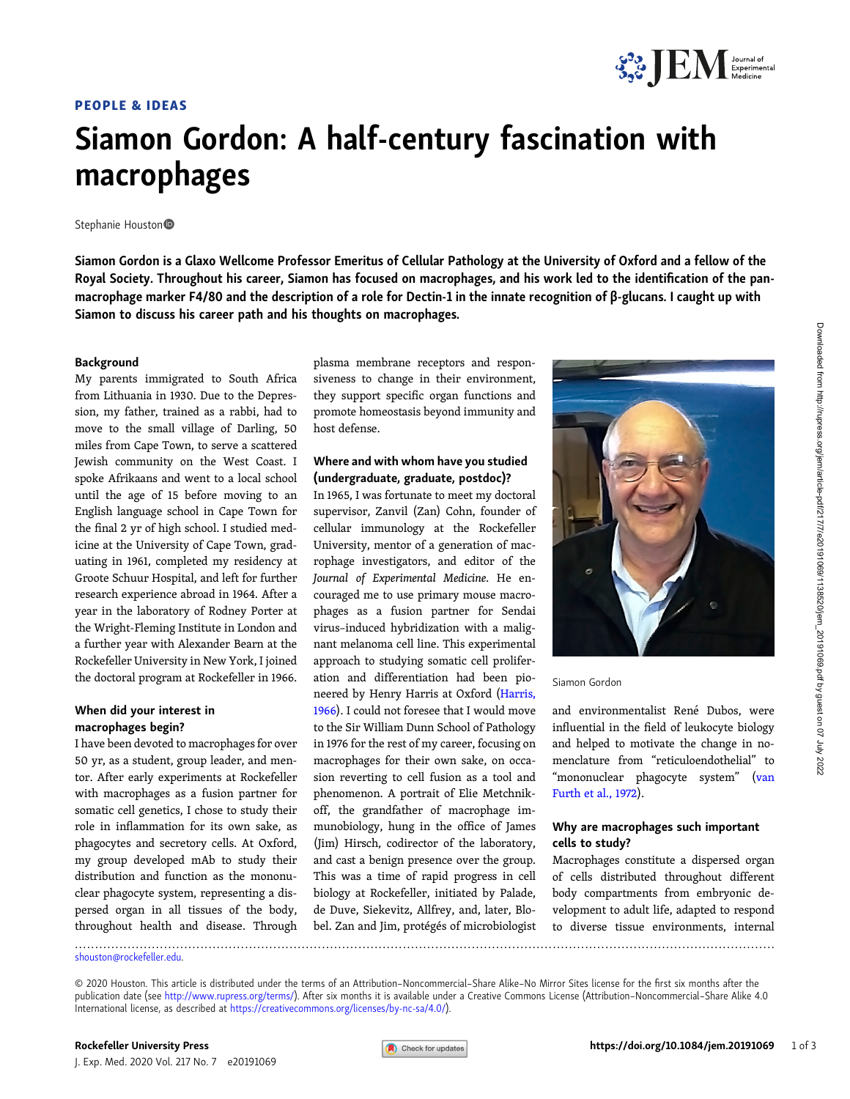#### PEOPLE & IDEAS



# Siamon Gordon: A half-century fascination with macrophages

#### Stephanie Houston<sup>®</sup>

Siamon Gordon is a Glaxo Wellcome Professor Emeritus of Cellular Pathology at the University of Oxford and a fellow of the Royal Society. Throughout his career, Siamon has focused on macrophages, and his work led to the identification of the panmacrophage marker F4/80 and the description of a role for Dectin-1 in the innate recognition of β-glucans. I caught up with Siamon to discuss his career path and his thoughts on macrophages.

#### Background

My parents immigrated to South Africa from Lithuania in 1930. Due to the Depression, my father, trained as a rabbi, had to move to the small village of Darling, 50 miles from Cape Town, to serve a scattered Jewish community on the West Coast. I spoke Afrikaans and went to a local school until the age of 15 before moving to an English language school in Cape Town for the final 2 yr of high school. I studied medicine at the University of Cape Town, graduating in 1961, completed my residency at Groote Schuur Hospital, and left for further research experience abroad in 1964. After a year in the laboratory of Rodney Porter at the Wright-Fleming Institute in London and a further year with Alexander Bearn at the Rockefeller University in New York, I joined the doctoral program at Rockefeller in 1966.

#### When did your interest in macrophages begin?

I have been devoted to macrophages for over 50 yr, as a student, group leader, and mentor. After early experiments at Rockefeller with macrophages as a fusion partner for somatic cell genetics, I chose to study their role in inflammation for its own sake, as phagocytes and secretory cells. At Oxford, my group developed mAb to study their distribution and function as the mononuclear phagocyte system, representing a dispersed organ in all tissues of the body, throughout health and disease. Through

plasma membrane receptors and responsiveness to change in their environment, they support specific organ functions and promote homeostasis beyond immunity and host defense.

### Where and with whom have you studied (undergraduate, graduate, postdoc)?

In 1965, I was fortunate to meet my doctoral supervisor, Zanvil (Zan) Cohn, founder of cellular immunology at the Rockefeller University, mentor of a generation of macrophage investigators, and editor of the Journal of Experimental Medicine. He encouraged me to use primary mouse macrophages as a fusion partner for Sendai virus–induced hybridization with a malignant melanoma cell line. This experimental approach to studying somatic cell proliferation and differentiation had been pioneered by Henry Harris at Oxford [\(Harris,](#page-2-0) [1966](#page-2-0)). I could not foresee that I would move to the Sir William Dunn School of Pathology in 1976 for the rest of my career, focusing on macrophages for their own sake, on occasion reverting to cell fusion as a tool and phenomenon. A portrait of Elie Metchnikoff, the grandfather of macrophage immunobiology, hung in the office of James (Jim) Hirsch, codirector of the laboratory, and cast a benign presence over the group. This was a time of rapid progress in cell biology at Rockefeller, initiated by Palade, de Duve, Siekevitz, Allfrey, and, later, Blobel. Zan and Jim, protégés of microbiologist



Siamon Gordon

.............................................................................................................................................................................

and environmentalist René Dubos, were influential in the field of leukocyte biology and helped to motivate the change in nomenclature from "reticuloendothelial" to "mononuclear phagocyte system" ([van](#page-2-0) [Furth et al., 1972\)](#page-2-0).

### Why are macrophages such important cells to study?

Macrophages constitute a dispersed organ of cells distributed throughout different body compartments from embryonic development to adult life, adapted to respond to diverse tissue environments, internal

[shouston@rockefeller.edu.](mailto:shouston@rockefeller.edu)

J. Exp. Med. 2020 Vol. 217 No. 7 e20191069

<sup>© 2020</sup> Houston. This article is distributed under the terms of an Attribution–Noncommercial–Share Alike–No Mirror Sites license for the first six months after the publication date (see [http://www.rupress.org/terms/\)](http://www.rupress.org/terms/). After six months it is available under a Creative Commons License (Attribution-Noncommercial-Share Alike 4.0 International license, as described at <https://creativecommons.org/licenses/by-nc-sa/4.0/>).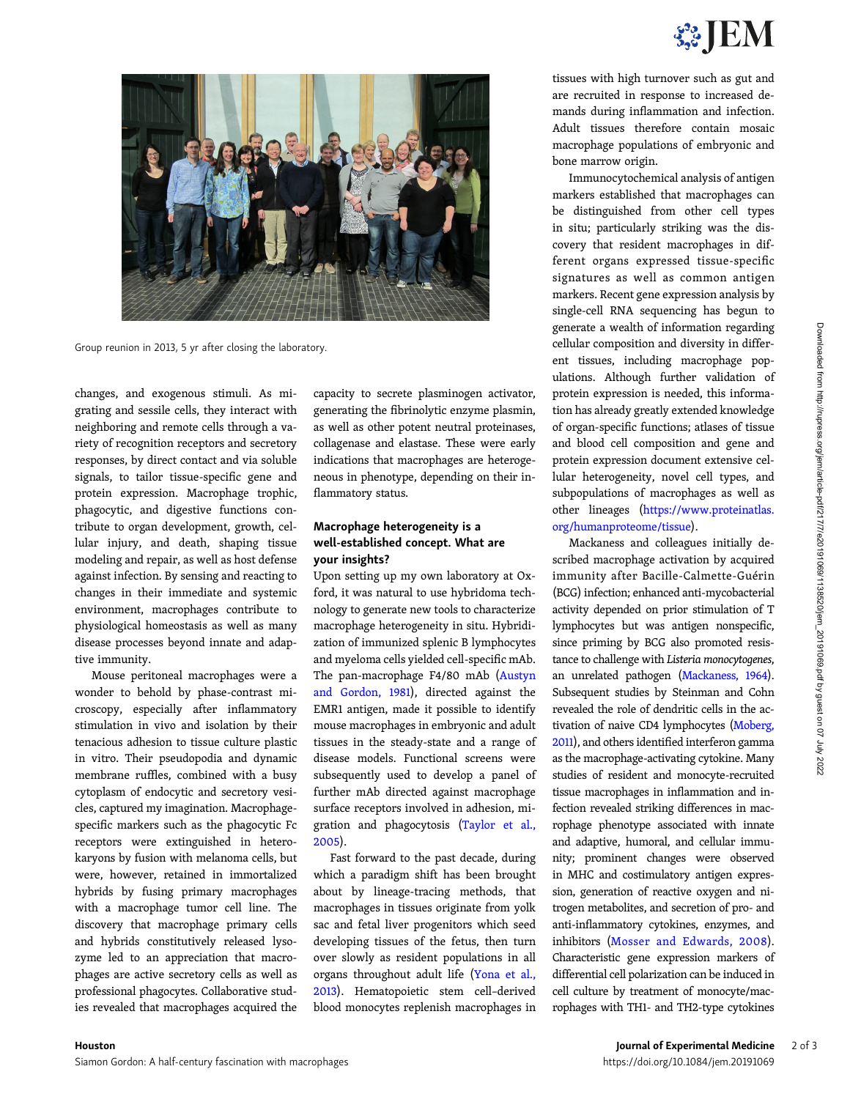# \$% JEM



Group reunion in 2013, 5 yr after closing the laboratory.

changes, and exogenous stimuli. As migrating and sessile cells, they interact with neighboring and remote cells through a variety of recognition receptors and secretory responses, by direct contact and via soluble signals, to tailor tissue-specific gene and protein expression. Macrophage trophic, phagocytic, and digestive functions contribute to organ development, growth, cellular injury, and death, shaping tissue modeling and repair, as well as host defense against infection. By sensing and reacting to changes in their immediate and systemic environment, macrophages contribute to physiological homeostasis as well as many disease processes beyond innate and adaptive immunity.

Mouse peritoneal macrophages were a wonder to behold by phase-contrast microscopy, especially after inflammatory stimulation in vivo and isolation by their tenacious adhesion to tissue culture plastic in vitro. Their pseudopodia and dynamic membrane ruffles, combined with a busy cytoplasm of endocytic and secretory vesicles, captured my imagination. Macrophagespecific markers such as the phagocytic Fc receptors were extinguished in heterokaryons by fusion with melanoma cells, but were, however, retained in immortalized hybrids by fusing primary macrophages with a macrophage tumor cell line. The discovery that macrophage primary cells and hybrids constitutively released lysozyme led to an appreciation that macrophages are active secretory cells as well as professional phagocytes. Collaborative studies revealed that macrophages acquired the

capacity to secrete plasminogen activator, generating the fibrinolytic enzyme plasmin, as well as other potent neutral proteinases, collagenase and elastase. These were early indications that macrophages are heterogeneous in phenotype, depending on their inflammatory status.

### Macrophage heterogeneity is a well-established concept. What are your insights?

Upon setting up my own laboratory at Oxford, it was natural to use hybridoma technology to generate new tools to characterize macrophage heterogeneity in situ. Hybridization of immunized splenic B lymphocytes and myeloma cells yielded cell-specific mAb. The pan-macrophage F4/80 mAb ([Austyn](#page-2-0) [and Gordon, 1981\)](#page-2-0), directed against the EMR1 antigen, made it possible to identify mouse macrophages in embryonic and adult tissues in the steady-state and a range of disease models. Functional screens were subsequently used to develop a panel of further mAb directed against macrophage surface receptors involved in adhesion, migration and phagocytosis [\(Taylor et al.,](#page-2-0) [2005\)](#page-2-0).

Fast forward to the past decade, during which a paradigm shift has been brought about by lineage-tracing methods, that macrophages in tissues originate from yolk sac and fetal liver progenitors which seed developing tissues of the fetus, then turn over slowly as resident populations in all organs throughout adult life ([Yona et al.,](#page-2-0) [2013\)](#page-2-0). Hematopoietic stem cell–derived blood monocytes replenish macrophages in tissues with high turnover such as gut and are recruited in response to increased demands during inflammation and infection. Adult tissues therefore contain mosaic macrophage populations of embryonic and bone marrow origin.

Immunocytochemical analysis of antigen markers established that macrophages can be distinguished from other cell types in situ; particularly striking was the discovery that resident macrophages in different organs expressed tissue-specific signatures as well as common antigen markers. Recent gene expression analysis by single-cell RNA sequencing has begun to generate a wealth of information regarding cellular composition and diversity in different tissues, including macrophage populations. Although further validation of protein expression is needed, this information has already greatly extended knowledge of organ-specific functions; atlases of tissue and blood cell composition and gene and protein expression document extensive cellular heterogeneity, novel cell types, and subpopulations of macrophages as well as other lineages [\(https://www.proteinatlas.](https://www.proteinatlas.org/humanproteome/tissue) [org/humanproteome/tissue\)](https://www.proteinatlas.org/humanproteome/tissue).

Mackaness and colleagues initially described macrophage activation by acquired immunity after Bacille-Calmette-Guérin (BCG) infection; enhanced anti-mycobacterial activity depended on prior stimulation of T lymphocytes but was antigen nonspecific, since priming by BCG also promoted resistance to challenge with Listeria monocytogenes, an unrelated pathogen [\(Mackaness, 1964\)](#page-2-0). Subsequent studies by Steinman and Cohn revealed the role of dendritic cells in the activation of naive CD4 lymphocytes [\(Moberg,](#page-2-0) [2011](#page-2-0)), and others identified interferon gamma as the macrophage-activating cytokine. Many studies of resident and monocyte-recruited tissue macrophages in inflammation and infection revealed striking differences in macrophage phenotype associated with innate and adaptive, humoral, and cellular immunity; prominent changes were observed in MHC and costimulatory antigen expression, generation of reactive oxygen and nitrogen metabolites, and secretion of pro- and anti-inflammatory cytokines, enzymes, and inhibitors [\(Mosser and Edwards, 2008\)](#page-2-0). Characteristic gene expression markers of differential cell polarization can be induced in cell culture by treatment of monocyte/macrophages with TH1- and TH2-type cytokines